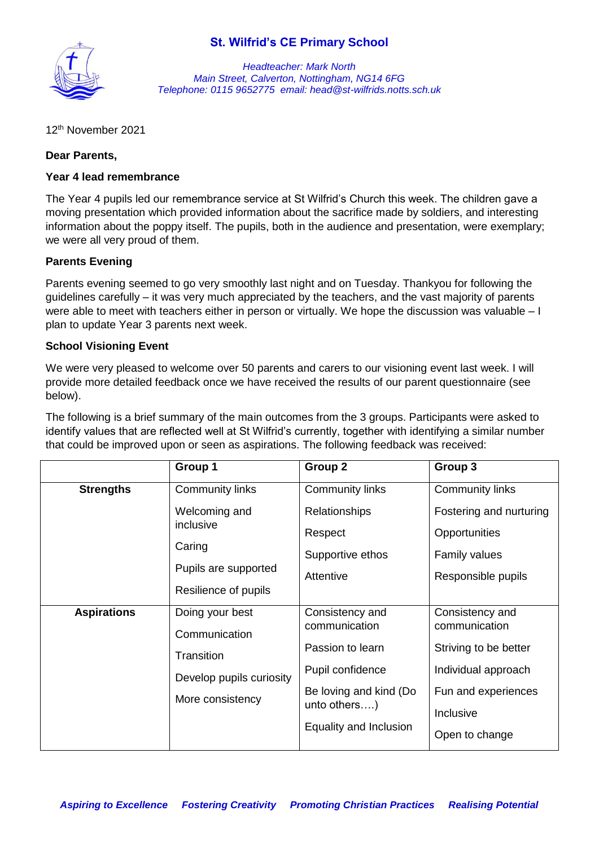# **St. Wilfrid's CE Primary School**



*Headteacher: Mark North Main Street, Calverton, Nottingham, NG14 6FG Telephone: 0115 9652775 email: head@st-wilfrids.notts.sch.uk*

12 th November 2021

# **Dear Parents,**

### **Year 4 lead remembrance**

The Year 4 pupils led our remembrance service at St Wilfrid's Church this week. The children gave a moving presentation which provided information about the sacrifice made by soldiers, and interesting information about the poppy itself. The pupils, both in the audience and presentation, were exemplary; we were all very proud of them.

# **Parents Evening**

Parents evening seemed to go very smoothly last night and on Tuesday. Thankyou for following the guidelines carefully – it was very much appreciated by the teachers, and the vast majority of parents were able to meet with teachers either in person or virtually. We hope the discussion was valuable – I plan to update Year 3 parents next week.

# **School Visioning Event**

We were very pleased to welcome over 50 parents and carers to our visioning event last week. I will provide more detailed feedback once we have received the results of our parent questionnaire (see below).

The following is a brief summary of the main outcomes from the 3 groups. Participants were asked to identify values that are reflected well at St Wilfrid's currently, together with identifying a similar number that could be improved upon or seen as aspirations. The following feedback was received:

|                    | Group 1                                                                                        | Group 2                                                                                                                                      | Group 3                                                                                                                                |
|--------------------|------------------------------------------------------------------------------------------------|----------------------------------------------------------------------------------------------------------------------------------------------|----------------------------------------------------------------------------------------------------------------------------------------|
| <b>Strengths</b>   | <b>Community links</b><br>Welcoming and<br>inclusive                                           | <b>Community links</b><br><b>Relationships</b><br>Respect                                                                                    | <b>Community links</b><br>Fostering and nurturing<br>Opportunities                                                                     |
|                    | Caring<br>Pupils are supported<br>Resilience of pupils                                         | Supportive ethos<br>Attentive                                                                                                                | <b>Family values</b><br>Responsible pupils                                                                                             |
| <b>Aspirations</b> | Doing your best<br>Communication<br>Transition<br>Develop pupils curiosity<br>More consistency | Consistency and<br>communication<br>Passion to learn<br>Pupil confidence<br>Be loving and kind (Do<br>unto others)<br>Equality and Inclusion | Consistency and<br>communication<br>Striving to be better<br>Individual approach<br>Fun and experiences<br>Inclusive<br>Open to change |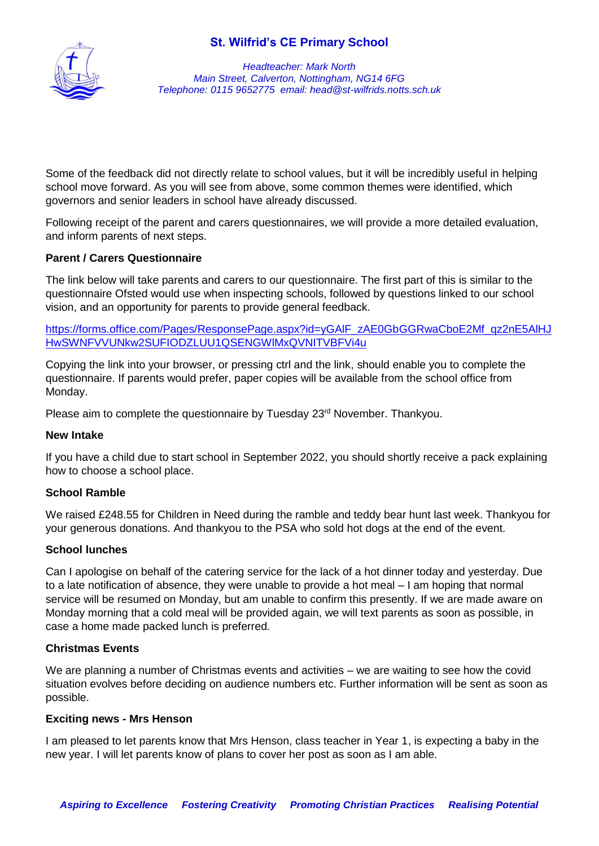# **St. Wilfrid's CE Primary School**



*Headteacher: Mark North Main Street, Calverton, Nottingham, NG14 6FG Telephone: 0115 9652775 email: head@st-wilfrids.notts.sch.uk*

Some of the feedback did not directly relate to school values, but it will be incredibly useful in helping school move forward. As you will see from above, some common themes were identified, which governors and senior leaders in school have already discussed.

Following receipt of the parent and carers questionnaires, we will provide a more detailed evaluation, and inform parents of next steps.

# **Parent / Carers Questionnaire**

The link below will take parents and carers to our questionnaire. The first part of this is similar to the questionnaire Ofsted would use when inspecting schools, followed by questions linked to our school vision, and an opportunity for parents to provide general feedback.

https://forms.office.com/Pages/ResponsePage.aspx?id=yGAIF\_zAE0GbGGRwaCboE2Mf\_qz2nE5AlHJ [HwSWNFVVUNkw2SUFIODZLUU1QSENGWlMxQVNITVBFVi4u](https://forms.office.com/Pages/ResponsePage.aspx?id=yGAlF_zAE0GbGGRwaCboE2Mf_qz2nE5AlHJHwSWNFVVUNkw2SUFIODZLUU1QSENGWlMxQVNITVBFVi4u)

Copying the link into your browser, or pressing ctrl and the link, should enable you to complete the questionnaire. If parents would prefer, paper copies will be available from the school office from Monday.

Please aim to complete the questionnaire by Tuesday 23<sup>rd</sup> November. Thankyou.

### **New Intake**

If you have a child due to start school in September 2022, you should shortly receive a pack explaining how to choose a school place.

### **School Ramble**

We raised £248.55 for Children in Need during the ramble and teddy bear hunt last week. Thankyou for your generous donations. And thankyou to the PSA who sold hot dogs at the end of the event.

### **School lunches**

Can I apologise on behalf of the catering service for the lack of a hot dinner today and yesterday. Due to a late notification of absence, they were unable to provide a hot meal – I am hoping that normal service will be resumed on Monday, but am unable to confirm this presently. If we are made aware on Monday morning that a cold meal will be provided again, we will text parents as soon as possible, in case a home made packed lunch is preferred.

#### **Christmas Events**

We are planning a number of Christmas events and activities – we are waiting to see how the covid situation evolves before deciding on audience numbers etc. Further information will be sent as soon as possible.

#### **Exciting news - Mrs Henson**

I am pleased to let parents know that Mrs Henson, class teacher in Year 1, is expecting a baby in the new year. I will let parents know of plans to cover her post as soon as I am able.